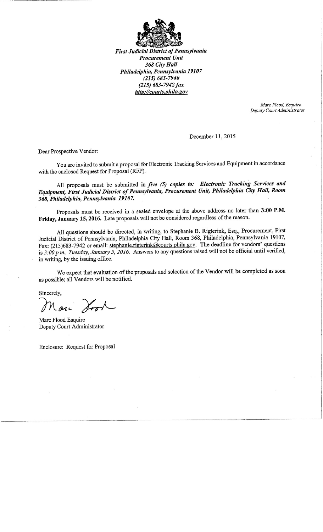

**First Judicial District of Pennsylvania Procurement Unit** 368 City Hall Philadelphia, Pennsylvania 19107  $(215)$  683-7940  $(215)$  683-7942 fax http://courts.phila.gov

> Marc Flood, Esquire Deputy Court Administrator

December 11, 2015

Dear Prospective Vendor:

You are invited to submit a proposal for Electronic Tracking Services and Equipment in accordance with the enclosed Request for Proposal (RFP).

All proposals must be submitted in five (5) copies to: Electronic Tracking Services and Equipment, First Judicial District of Pennsylvania, Procurement Unit, Philadelphia City Hall, Room 368, Philadelphia, Pennsylvania 19107.

Proposals must be received in a sealed envelope at the above address no later than 3:00 P.M. Friday, January 15, 2016. Late proposals will not be considered regardless of the reason.

All questions should be directed, in writing, to Stephanie B. Rigterink, Esq., Procurement, First Judicial District of Pennsylvania, Philadelphia City Hall, Room 368, Philadelphia, Pennsylvania 19107, Fax: (215)683-7942 or email: stephanie.rigterink@courts.phila.gov. The deadline for vendors' questions is 3:00 p.m., Tuesday, January 5, 2016. Answers to any questions raised will not be official until verified, in writing, by the issuing office.

We expect that evaluation of the proposals and selection of the Vendor will be completed as soon as possible; all Vendors will be notified.

Sincerely,

Lone

Marc Flood Esquire Deputy Court Administrator

Enclosure: Request for Proposal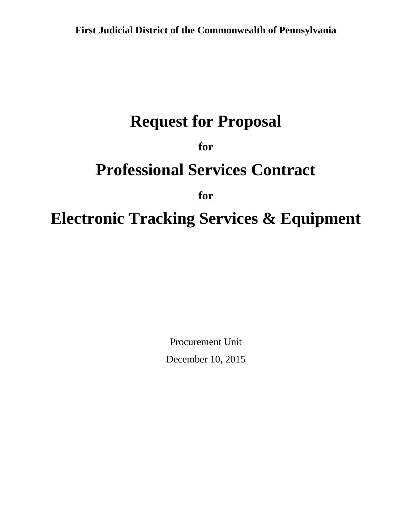# **Request for Proposal**

**for**

# **Professional Services Contract**

**for**

# **Electronic Tracking Services & Equipment**

Procurement Unit December 10, 2015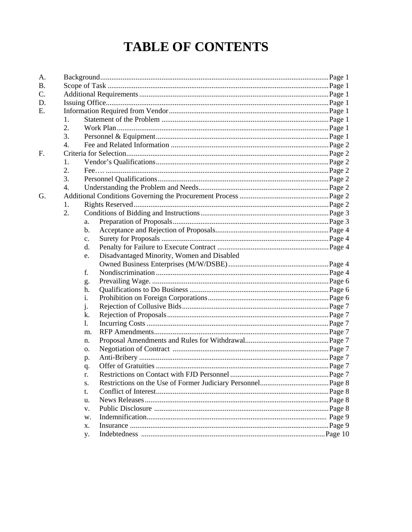# **TABLE OF CONTENTS**

| A. |    |                |                                            |  |
|----|----|----------------|--------------------------------------------|--|
| Β. |    |                |                                            |  |
| C. |    |                |                                            |  |
| D. |    |                |                                            |  |
| Е. |    |                |                                            |  |
|    | 1. |                |                                            |  |
|    | 2. |                |                                            |  |
|    | 3. |                |                                            |  |
|    | 4. |                |                                            |  |
| F. |    |                |                                            |  |
|    | 1. |                |                                            |  |
|    | 2. |                |                                            |  |
|    | 3. |                |                                            |  |
|    | 4. |                |                                            |  |
| G. |    |                |                                            |  |
|    | 1. |                |                                            |  |
|    | 2. |                |                                            |  |
|    |    | a.             |                                            |  |
|    |    | b.             |                                            |  |
|    |    | $\mathbf{c}$ . |                                            |  |
|    |    | d.             |                                            |  |
|    |    | e.             | Disadvantaged Minority, Women and Disabled |  |
|    |    |                |                                            |  |
|    |    | f.             |                                            |  |
|    |    | g.             |                                            |  |
|    |    | h.             |                                            |  |
|    |    | i.             |                                            |  |
|    |    | j.             |                                            |  |
|    |    | k.             |                                            |  |
|    |    | 1.             |                                            |  |
|    |    | m.             |                                            |  |
|    |    | n.             |                                            |  |
|    |    | о.             |                                            |  |
|    |    | p.             |                                            |  |
|    |    | q.             |                                            |  |
|    |    |                |                                            |  |
|    |    | S.             |                                            |  |
|    |    | t.             |                                            |  |
|    |    | u.             |                                            |  |
|    |    | V.             |                                            |  |
|    |    | w.             |                                            |  |
|    |    | X.             |                                            |  |
|    |    | <b>y.</b>      |                                            |  |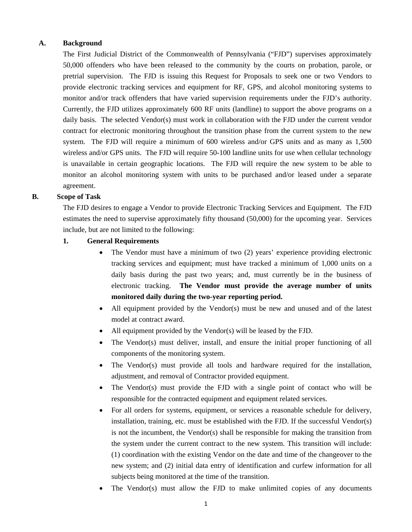#### **A. Background**

The First Judicial District of the Commonwealth of Pennsylvania ("FJD") supervises approximately 50,000 offenders who have been released to the community by the courts on probation, parole, or pretrial supervision. The FJD is issuing this Request for Proposals to seek one or two Vendors to provide electronic tracking services and equipment for RF, GPS, and alcohol monitoring systems to monitor and/or track offenders that have varied supervision requirements under the FJD's authority. Currently, the FJD utilizes approximately 600 RF units (landline) to support the above programs on a daily basis. The selected Vendor(s) must work in collaboration with the FJD under the current vendor contract for electronic monitoring throughout the transition phase from the current system to the new system. The FJD will require a minimum of 600 wireless and/or GPS units and as many as 1,500 wireless and/or GPS units. The FJD will require 50-100 landline units for use when cellular technology is unavailable in certain geographic locations. The FJD will require the new system to be able to monitor an alcohol monitoring system with units to be purchased and/or leased under a separate agreement.

#### **B. Scope of Task**

The FJD desires to engage a Vendor to provide Electronic Tracking Services and Equipment. The FJD estimates the need to supervise approximately fifty thousand (50,000) for the upcoming year. Services include, but are not limited to the following:

#### **1. General Requirements**

- The Vendor must have a minimum of two (2) years' experience providing electronic tracking services and equipment; must have tracked a minimum of 1,000 units on a daily basis during the past two years; and, must currently be in the business of electronic tracking. **The Vendor must provide the average number of units monitored daily during the two-year reporting period.**
- All equipment provided by the Vendor(s) must be new and unused and of the latest model at contract award.
- All equipment provided by the Vendor(s) will be leased by the FJD.
- The Vendor(s) must deliver, install, and ensure the initial proper functioning of all components of the monitoring system.
- The Vendor(s) must provide all tools and hardware required for the installation, adjustment, and removal of Contractor provided equipment.
- The Vendor(s) must provide the FJD with a single point of contact who will be responsible for the contracted equipment and equipment related services.
- For all orders for systems, equipment, or services a reasonable schedule for delivery, installation, training, etc. must be established with the FJD. If the successful Vendor(s) is not the incumbent, the Vendor(s) shall be responsible for making the transition from the system under the current contract to the new system. This transition will include: (1) coordination with the existing Vendor on the date and time of the changeover to the new system; and (2) initial data entry of identification and curfew information for all subjects being monitored at the time of the transition.
- The Vendor(s) must allow the FJD to make unlimited copies of any documents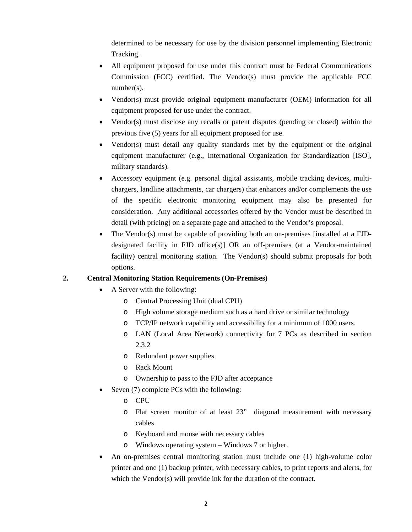determined to be necessary for use by the division personnel implementing Electronic Tracking.

- All equipment proposed for use under this contract must be Federal Communications Commission (FCC) certified. The Vendor(s) must provide the applicable FCC number(s).
- Vendor(s) must provide original equipment manufacturer (OEM) information for all equipment proposed for use under the contract.
- Vendor(s) must disclose any recalls or patent disputes (pending or closed) within the previous five (5) years for all equipment proposed for use.
- Vendor(s) must detail any quality standards met by the equipment or the original equipment manufacturer (e.g., International Organization for Standardization [ISO], military standards).
- Accessory equipment (e.g. personal digital assistants, mobile tracking devices, multichargers, landline attachments, car chargers) that enhances and/or complements the use of the specific electronic monitoring equipment may also be presented for consideration. Any additional accessories offered by the Vendor must be described in detail (with pricing) on a separate page and attached to the Vendor's proposal.
- The Vendor(s) must be capable of providing both an on-premises [installed at a FJDdesignated facility in FJD office(s)] OR an off-premises (at a Vendor-maintained facility) central monitoring station. The Vendor(s) should submit proposals for both options.

## **2. Central Monitoring Station Requirements (On-Premises)**

- A Server with the following:
	- o Central Processing Unit (dual CPU)
	- o High volume storage medium such as a hard drive or similar technology
	- o TCP/IP network capability and accessibility for a minimum of 1000 users.
	- o LAN (Local Area Network) connectivity for 7 PCs as described in section 2.3.2
	- o Redundant power supplies
	- o Rack Mount
	- o Ownership to pass to the FJD after acceptance
- Seven (7) complete PCs with the following:
	- o CPU
	- o Flat screen monitor of at least 23" diagonal measurement with necessary cables
	- o Keyboard and mouse with necessary cables
	- o Windows operating system Windows 7 or higher.
- An on-premises central monitoring station must include one (1) high-volume color printer and one (1) backup printer, with necessary cables, to print reports and alerts, for which the Vendor(s) will provide ink for the duration of the contract.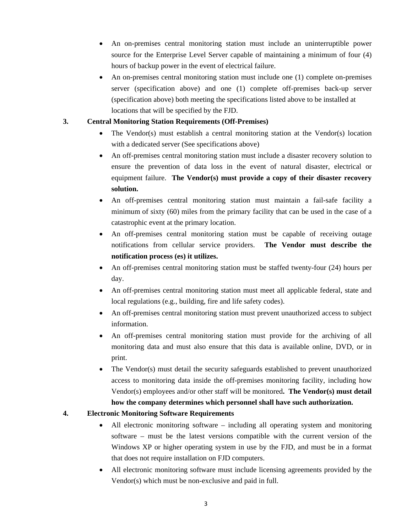- An on-premises central monitoring station must include an uninterruptible power source for the Enterprise Level Server capable of maintaining a minimum of four (4) hours of backup power in the event of electrical failure.
- An on-premises central monitoring station must include one (1) complete on-premises server (specification above) and one (1) complete off-premises back-up server (specification above) both meeting the specifications listed above to be installed at locations that will be specified by the FJD.

## **3. Central Monitoring Station Requirements (Off-Premises)**

- The Vendor(s) must establish a central monitoring station at the Vendor(s) location with a dedicated server (See specifications above)
- An off-premises central monitoring station must include a disaster recovery solution to ensure the prevention of data loss in the event of natural disaster, electrical or equipment failure. **The Vendor(s) must provide a copy of their disaster recovery solution.**
- An off-premises central monitoring station must maintain a fail-safe facility a minimum of sixty (60) miles from the primary facility that can be used in the case of a catastrophic event at the primary location.
- An off-premises central monitoring station must be capable of receiving outage notifications from cellular service providers. **The Vendor must describe the notification process (es) it utilizes.**
- An off-premises central monitoring station must be staffed twenty-four (24) hours per day.
- An off-premises central monitoring station must meet all applicable federal, state and local regulations (e.g., building, fire and life safety codes).
- An off-premises central monitoring station must prevent unauthorized access to subject information.
- An off-premises central monitoring station must provide for the archiving of all monitoring data and must also ensure that this data is available online, DVD, or in print.
- The Vendor(s) must detail the security safeguards established to prevent unauthorized access to monitoring data inside the off-premises monitoring facility, including how Vendor(s) employees and/or other staff will be monitored**. The Vendor(s) must detail how the company determines which personnel shall have such authorization.**

## **4. Electronic Monitoring Software Requirements**

- All electronic monitoring software including all operating system and monitoring software – must be the latest versions compatible with the current version of the Windows XP or higher operating system in use by the FJD, and must be in a format that does not require installation on FJD computers.
- All electronic monitoring software must include licensing agreements provided by the Vendor(s) which must be non-exclusive and paid in full.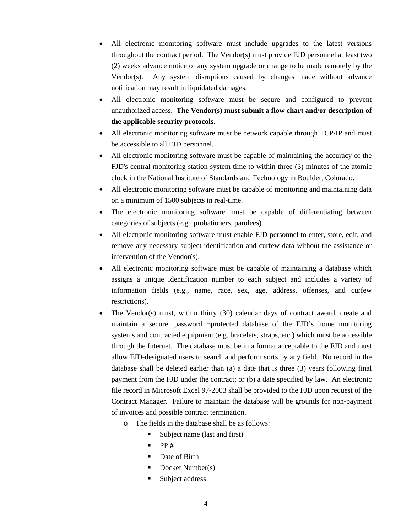- All electronic monitoring software must include upgrades to the latest versions throughout the contract period. The Vendor(s) must provide FJD personnel at least two (2) weeks advance notice of any system upgrade or change to be made remotely by the Vendor(s). Any system disruptions caused by changes made without advance notification may result in liquidated damages.
- All electronic monitoring software must be secure and configured to prevent unauthorized access. **The Vendor(s) must submit a flow chart and/or description of the applicable security protocols.**
- All electronic monitoring software must be network capable through TCP/IP and must be accessible to all FJD personnel.
- All electronic monitoring software must be capable of maintaining the accuracy of the FJD's central monitoring station system time to within three (3) minutes of the atomic clock in the National Institute of Standards and Technology in Boulder, Colorado.
- All electronic monitoring software must be capable of monitoring and maintaining data on a minimum of 1500 subjects in real-time.
- The electronic monitoring software must be capable of differentiating between categories of subjects (e.g., probationers, parolees).
- All electronic monitoring software must enable FJD personnel to enter, store, edit, and remove any necessary subject identification and curfew data without the assistance or intervention of the Vendor(s).
- All electronic monitoring software must be capable of maintaining a database which assigns a unique identification number to each subject and includes a variety of information fields (e.g., name, race, sex, age, address, offenses, and curfew restrictions).
- The Vendor(s) must, within thirty (30) calendar days of contract award, create and maintain a secure, password ¬protected database of the FJD's home monitoring systems and contracted equipment (e.g. bracelets, straps, etc.) which must be accessible through the Internet. The database must be in a format acceptable to the FJD and must allow FJD-designated users to search and perform sorts by any field. No record in the database shall be deleted earlier than (a) a date that is three (3) years following final payment from the FJD under the contract; or (b) a date specified by law. An electronic file record in Microsoft Excel 97-2003 shall be provided to the FJD upon request of the Contract Manager. Failure to maintain the database will be grounds for non-payment of invoices and possible contract termination.
	- o The fields in the database shall be as follows:
		- Subject name (last and first)
		- $\blacksquare$  PP#
		- Date of Birth
		- Docket Number(s)
		- **Subject address**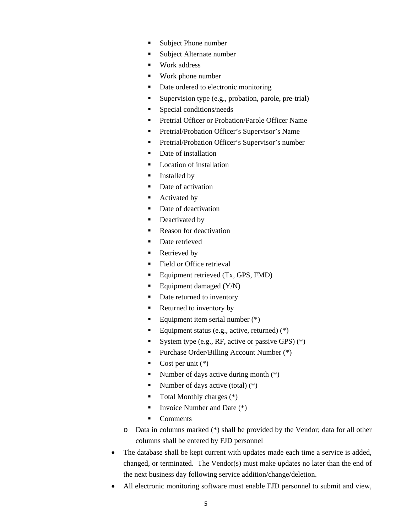- Subject Phone number
- Subject Alternate number
- Work address
- Work phone number
- Date ordered to electronic monitoring
- Supervision type (e.g., probation, parole, pre-trial)
- Special conditions/needs
- **Pretrial Officer or Probation/Parole Officer Name**
- **Pretrial/Probation Officer's Supervisor's Name**
- **Pretrial/Probation Officer's Supervisor's number**
- Date of installation
- **Location of installation**
- **Installed by**
- Date of activation
- Activated by
- Date of deactivation
- Deactivated by
- Reason for deactivation
- Date retrieved
- Retrieved by
- Field or Office retrieval
- Equipment retrieved  $(Tx, GPS, FMD)$
- Equipment damaged  $(Y/N)$
- Date returned to inventory
- Returned to inventory by
- Equipment item serial number  $(*)$
- Equipment status (e.g., active, returned)  $(*)$
- System type (e.g., RF, active or passive GPS)  $(*)$
- Purchase Order/Billing Account Number (\*)
- Cost per unit  $(*)$
- Number of days active during month  $(*)$
- Number of days active (total)  $(*)$
- $\blacksquare$  Total Monthly charges  $(*)$
- Invoice Number and Date  $(*)$
- Comments
- o Data in columns marked (\*) shall be provided by the Vendor; data for all other columns shall be entered by FJD personnel
- The database shall be kept current with updates made each time a service is added, changed, or terminated. The Vendor(s) must make updates no later than the end of the next business day following service addition/change/deletion.
- All electronic monitoring software must enable FJD personnel to submit and view,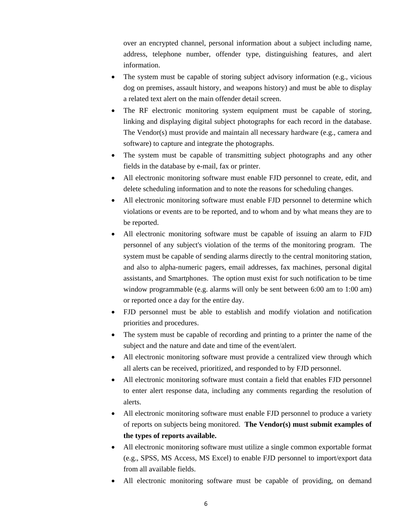over an encrypted channel, personal information about a subject including name, address, telephone number, offender type, distinguishing features, and alert information.

- The system must be capable of storing subject advisory information (e.g., vicious dog on premises, assault history, and weapons history) and must be able to display a related text alert on the main offender detail screen.
- The RF electronic monitoring system equipment must be capable of storing, linking and displaying digital subject photographs for each record in the database. The Vendor(s) must provide and maintain all necessary hardware (e.g., camera and software) to capture and integrate the photographs.
- The system must be capable of transmitting subject photographs and any other fields in the database by e-mail, fax or printer.
- All electronic monitoring software must enable FJD personnel to create, edit, and delete scheduling information and to note the reasons for scheduling changes.
- All electronic monitoring software must enable FJD personnel to determine which violations or events are to be reported, and to whom and by what means they are to be reported.
- All electronic monitoring software must be capable of issuing an alarm to FJD personnel of any subject's violation of the terms of the monitoring program. The system must be capable of sending alarms directly to the central monitoring station, and also to alpha-numeric pagers, email addresses, fax machines, personal digital assistants, and Smartphones. The option must exist for such notification to be time window programmable (e.g. alarms will only be sent between 6:00 am to 1:00 am) or reported once a day for the entire day.
- FJD personnel must be able to establish and modify violation and notification priorities and procedures.
- The system must be capable of recording and printing to a printer the name of the subject and the nature and date and time of the event/alert.
- All electronic monitoring software must provide a centralized view through which all alerts can be received, prioritized, and responded to by FJD personnel.
- All electronic monitoring software must contain a field that enables FJD personnel to enter alert response data, including any comments regarding the resolution of alerts.
- All electronic monitoring software must enable FJD personnel to produce a variety of reports on subjects being monitored. **The Vendor(s) must submit examples of the types of reports available.**
- All electronic monitoring software must utilize a single common exportable format (e.g., SPSS, MS Access, MS Excel) to enable FJD personnel to import/export data from all available fields.
- All electronic monitoring software must be capable of providing, on demand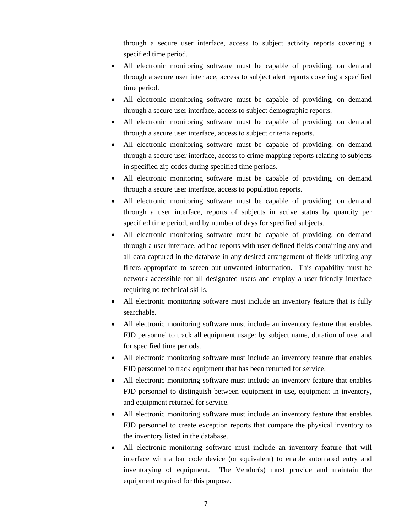through a secure user interface, access to subject activity reports covering a specified time period.

- All electronic monitoring software must be capable of providing, on demand through a secure user interface, access to subject alert reports covering a specified time period.
- All electronic monitoring software must be capable of providing, on demand through a secure user interface, access to subject demographic reports.
- All electronic monitoring software must be capable of providing, on demand through a secure user interface, access to subject criteria reports.
- All electronic monitoring software must be capable of providing, on demand through a secure user interface, access to crime mapping reports relating to subjects in specified zip codes during specified time periods.
- All electronic monitoring software must be capable of providing, on demand through a secure user interface, access to population reports.
- All electronic monitoring software must be capable of providing, on demand through a user interface, reports of subjects in active status by quantity per specified time period, and by number of days for specified subjects.
- All electronic monitoring software must be capable of providing, on demand through a user interface, ad hoc reports with user-defined fields containing any and all data captured in the database in any desired arrangement of fields utilizing any filters appropriate to screen out unwanted information. This capability must be network accessible for all designated users and employ a user-friendly interface requiring no technical skills.
- All electronic monitoring software must include an inventory feature that is fully searchable.
- All electronic monitoring software must include an inventory feature that enables FJD personnel to track all equipment usage: by subject name, duration of use, and for specified time periods.
- All electronic monitoring software must include an inventory feature that enables FJD personnel to track equipment that has been returned for service.
- All electronic monitoring software must include an inventory feature that enables FJD personnel to distinguish between equipment in use, equipment in inventory, and equipment returned for service.
- All electronic monitoring software must include an inventory feature that enables FJD personnel to create exception reports that compare the physical inventory to the inventory listed in the database.
- All electronic monitoring software must include an inventory feature that will interface with a bar code device (or equivalent) to enable automated entry and inventorying of equipment. The Vendor(s) must provide and maintain the equipment required for this purpose.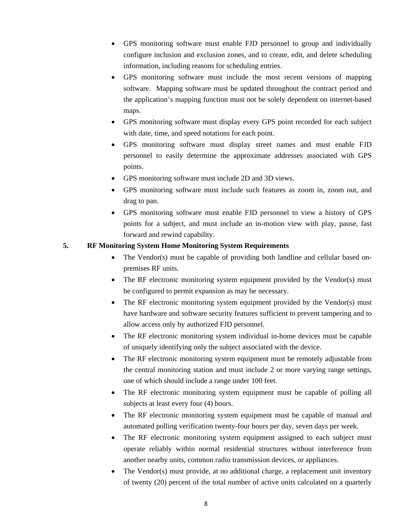- GPS monitoring software must enable FJD personnel to group and individually configure inclusion and exclusion zones, and to create, edit, and delete scheduling information, including reasons for scheduling entries.
- GPS monitoring software must include the most recent versions of mapping software. Mapping software must be updated throughout the contract period and the application's mapping function must not be solely dependent on internet-based maps.
- GPS monitoring software must display every GPS point recorded for each subject with date, time, and speed notations for each point.
- GPS monitoring software must display street names and must enable FJD personnel to easily determine the approximate addresses associated with GPS points.
- GPS monitoring software must include 2D and 3D views.
- GPS monitoring software must include such features as zoom in, zoom out, and drag to pan.
- GPS monitoring software must enable FJD personnel to view a history of GPS points for a subject, and must include an in-motion view with play, pause, fast forward and rewind capability.

## **5. RF Monitoring System Home Monitoring System Requirements**

- The Vendor(s) must be capable of providing both landline and cellular based onpremises RF units.
- The RF electronic monitoring system equipment provided by the Vendor(s) must be configured to permit expansion as may be necessary.
- The RF electronic monitoring system equipment provided by the Vendor(s) must have hardware and software security features sufficient to prevent tampering and to allow access only by authorized FJD personnel.
- The RF electronic monitoring system individual in-home devices must be capable of uniquely identifying only the subject associated with the device.
- The RF electronic monitoring system equipment must be remotely adjustable from the central monitoring station and must include 2 or more varying range settings, one of which should include a range under 100 feet.
- The RF electronic monitoring system equipment must be capable of polling all subjects at least every four (4) hours.
- The RF electronic monitoring system equipment must be capable of manual and automated polling verification twenty-four hours per day, seven days per week.
- The RF electronic monitoring system equipment assigned to each subject must operate reliably within normal residential structures without interference from another nearby units, common radio transmission devices, or appliances.
- The Vendor(s) must provide, at no additional charge, a replacement unit inventory of twenty (20) percent of the total number of active units calculated on a quarterly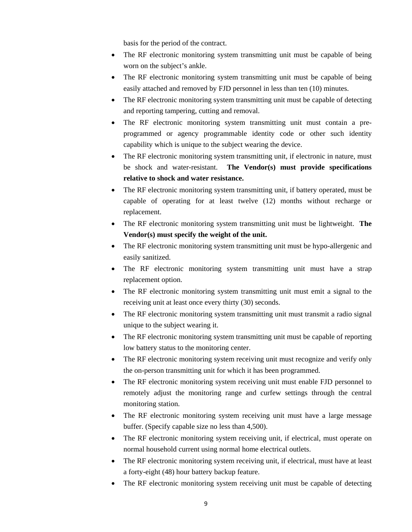basis for the period of the contract.

- The RF electronic monitoring system transmitting unit must be capable of being worn on the subject's ankle.
- The RF electronic monitoring system transmitting unit must be capable of being easily attached and removed by FJD personnel in less than ten (10) minutes.
- The RF electronic monitoring system transmitting unit must be capable of detecting and reporting tampering, cutting and removal.
- The RF electronic monitoring system transmitting unit must contain a preprogrammed or agency programmable identity code or other such identity capability which is unique to the subject wearing the device.
- The RF electronic monitoring system transmitting unit, if electronic in nature, must be shock and water-resistant. **The Vendor(s) must provide specifications relative to shock and water resistance.**
- The RF electronic monitoring system transmitting unit, if battery operated, must be capable of operating for at least twelve (12) months without recharge or replacement.
- The RF electronic monitoring system transmitting unit must be lightweight. **The Vendor(s) must specify the weight of the unit.**
- The RF electronic monitoring system transmitting unit must be hypo-allergenic and easily sanitized.
- The RF electronic monitoring system transmitting unit must have a strap replacement option.
- The RF electronic monitoring system transmitting unit must emit a signal to the receiving unit at least once every thirty (30) seconds.
- The RF electronic monitoring system transmitting unit must transmit a radio signal unique to the subject wearing it.
- The RF electronic monitoring system transmitting unit must be capable of reporting low battery status to the monitoring center.
- The RF electronic monitoring system receiving unit must recognize and verify only the on-person transmitting unit for which it has been programmed.
- The RF electronic monitoring system receiving unit must enable FJD personnel to remotely adjust the monitoring range and curfew settings through the central monitoring station.
- The RF electronic monitoring system receiving unit must have a large message buffer. (Specify capable size no less than 4,500).
- The RF electronic monitoring system receiving unit, if electrical, must operate on normal household current using normal home electrical outlets.
- The RF electronic monitoring system receiving unit, if electrical, must have at least a forty-eight (48) hour battery backup feature.
- The RF electronic monitoring system receiving unit must be capable of detecting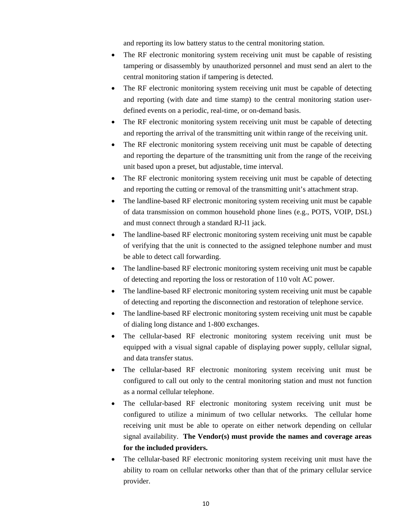and reporting its low battery status to the central monitoring station.

- The RF electronic monitoring system receiving unit must be capable of resisting tampering or disassembly by unauthorized personnel and must send an alert to the central monitoring station if tampering is detected.
- The RF electronic monitoring system receiving unit must be capable of detecting and reporting (with date and time stamp) to the central monitoring station userdefined events on a periodic, real-time, or on-demand basis.
- The RF electronic monitoring system receiving unit must be capable of detecting and reporting the arrival of the transmitting unit within range of the receiving unit.
- The RF electronic monitoring system receiving unit must be capable of detecting and reporting the departure of the transmitting unit from the range of the receiving unit based upon a preset, but adjustable, time interval.
- The RF electronic monitoring system receiving unit must be capable of detecting and reporting the cutting or removal of the transmitting unit's attachment strap.
- The landline-based RF electronic monitoring system receiving unit must be capable of data transmission on common household phone lines (e.g., POTS, VOIP, DSL) and must connect through a standard RJ-l1 jack.
- The landline-based RF electronic monitoring system receiving unit must be capable of verifying that the unit is connected to the assigned telephone number and must be able to detect call forwarding.
- The landline-based RF electronic monitoring system receiving unit must be capable of detecting and reporting the loss or restoration of 110 volt AC power.
- The landline-based RF electronic monitoring system receiving unit must be capable of detecting and reporting the disconnection and restoration of telephone service.
- The landline-based RF electronic monitoring system receiving unit must be capable of dialing long distance and 1-800 exchanges.
- The cellular-based RF electronic monitoring system receiving unit must be equipped with a visual signal capable of displaying power supply, cellular signal, and data transfer status.
- The cellular-based RF electronic monitoring system receiving unit must be configured to call out only to the central monitoring station and must not function as a normal cellular telephone.
- The cellular-based RF electronic monitoring system receiving unit must be configured to utilize a minimum of two cellular networks. The cellular home receiving unit must be able to operate on either network depending on cellular signal availability. **The Vendor(s) must provide the names and coverage areas for the included providers.**
- The cellular-based RF electronic monitoring system receiving unit must have the ability to roam on cellular networks other than that of the primary cellular service provider.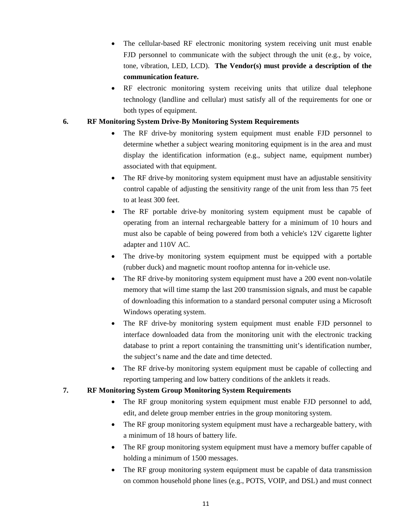- The cellular-based RF electronic monitoring system receiving unit must enable FJD personnel to communicate with the subject through the unit (e.g., by voice, tone, vibration, LED, LCD). **The Vendor(s) must provide a description of the communication feature.**
- RF electronic monitoring system receiving units that utilize dual telephone technology (landline and cellular) must satisfy all of the requirements for one or both types of equipment.

## **6. RF Monitoring System Drive-By Monitoring System Requirements**

- The RF drive-by monitoring system equipment must enable FJD personnel to determine whether a subject wearing monitoring equipment is in the area and must display the identification information (e.g., subject name, equipment number) associated with that equipment.
- The RF drive-by monitoring system equipment must have an adjustable sensitivity control capable of adjusting the sensitivity range of the unit from less than 75 feet to at least 300 feet.
- The RF portable drive-by monitoring system equipment must be capable of operating from an internal rechargeable battery for a minimum of 10 hours and must also be capable of being powered from both a vehicle's 12V cigarette lighter adapter and 110V AC.
- The drive-by monitoring system equipment must be equipped with a portable (rubber duck) and magnetic mount rooftop antenna for in-vehicle use.
- The RF drive-by monitoring system equipment must have a 200 event non-volatile memory that will time stamp the last 200 transmission signals, and must be capable of downloading this information to a standard personal computer using a Microsoft Windows operating system.
- The RF drive-by monitoring system equipment must enable FJD personnel to interface downloaded data from the monitoring unit with the electronic tracking database to print a report containing the transmitting unit's identification number, the subject's name and the date and time detected.
- The RF drive-by monitoring system equipment must be capable of collecting and reporting tampering and low battery conditions of the anklets it reads.

## **7. RF Monitoring System Group Monitoring System Requirements**

- The RF group monitoring system equipment must enable FJD personnel to add, edit, and delete group member entries in the group monitoring system.
- The RF group monitoring system equipment must have a rechargeable battery, with a minimum of 18 hours of battery life.
- The RF group monitoring system equipment must have a memory buffer capable of holding a minimum of 1500 messages.
- The RF group monitoring system equipment must be capable of data transmission on common household phone lines (e.g., POTS, VOIP, and DSL) and must connect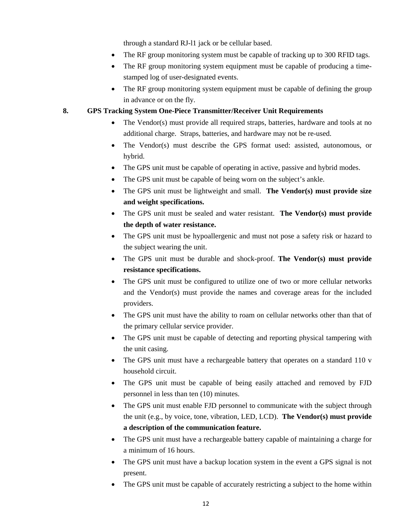through a standard RJ-l1 jack or be cellular based.

- The RF group monitoring system must be capable of tracking up to 300 RFID tags.
- The RF group monitoring system equipment must be capable of producing a timestamped log of user-designated events.
- The RF group monitoring system equipment must be capable of defining the group in advance or on the fly.

## **8. GPS Tracking System One-Piece Transmitter/Receiver Unit Requirements**

- The Vendor(s) must provide all required straps, batteries, hardware and tools at no additional charge. Straps, batteries, and hardware may not be re-used.
- The Vendor(s) must describe the GPS format used: assisted, autonomous, or hybrid.
- The GPS unit must be capable of operating in active, passive and hybrid modes.
- The GPS unit must be capable of being worn on the subject's ankle.
- The GPS unit must be lightweight and small. **The Vendor(s) must provide size and weight specifications.**
- The GPS unit must be sealed and water resistant. **The Vendor(s) must provide the depth of water resistance.**
- The GPS unit must be hypoallergenic and must not pose a safety risk or hazard to the subject wearing the unit.
- The GPS unit must be durable and shock-proof. **The Vendor(s) must provide resistance specifications.**
- The GPS unit must be configured to utilize one of two or more cellular networks and the Vendor(s) must provide the names and coverage areas for the included providers.
- The GPS unit must have the ability to roam on cellular networks other than that of the primary cellular service provider.
- The GPS unit must be capable of detecting and reporting physical tampering with the unit casing.
- The GPS unit must have a rechargeable battery that operates on a standard 110 v household circuit.
- The GPS unit must be capable of being easily attached and removed by FJD personnel in less than ten (10) minutes.
- The GPS unit must enable FJD personnel to communicate with the subject through the unit (e.g., by voice, tone, vibration, LED, LCD). **The Vendor(s) must provide a description of the communication feature.**
- The GPS unit must have a rechargeable battery capable of maintaining a charge for a minimum of 16 hours.
- The GPS unit must have a backup location system in the event a GPS signal is not present.
- The GPS unit must be capable of accurately restricting a subject to the home within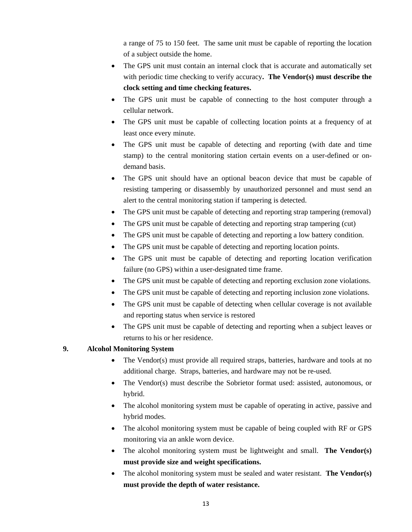a range of 75 to 150 feet. The same unit must be capable of reporting the location of a subject outside the home.

- The GPS unit must contain an internal clock that is accurate and automatically set with periodic time checking to verify accuracy**. The Vendor(s) must describe the clock setting and time checking features.**
- The GPS unit must be capable of connecting to the host computer through a cellular network.
- The GPS unit must be capable of collecting location points at a frequency of at least once every minute.
- The GPS unit must be capable of detecting and reporting (with date and time stamp) to the central monitoring station certain events on a user-defined or ondemand basis.
- The GPS unit should have an optional beacon device that must be capable of resisting tampering or disassembly by unauthorized personnel and must send an alert to the central monitoring station if tampering is detected.
- The GPS unit must be capable of detecting and reporting strap tampering (removal)
- The GPS unit must be capable of detecting and reporting strap tampering (cut)
- The GPS unit must be capable of detecting and reporting a low battery condition.
- The GPS unit must be capable of detecting and reporting location points.
- The GPS unit must be capable of detecting and reporting location verification failure (no GPS) within a user-designated time frame.
- The GPS unit must be capable of detecting and reporting exclusion zone violations.
- The GPS unit must be capable of detecting and reporting inclusion zone violations.
- The GPS unit must be capable of detecting when cellular coverage is not available and reporting status when service is restored
- The GPS unit must be capable of detecting and reporting when a subject leaves or returns to his or her residence.

## **9. Alcohol Monitoring System**

- The Vendor(s) must provide all required straps, batteries, hardware and tools at no additional charge. Straps, batteries, and hardware may not be re-used.
- The Vendor(s) must describe the Sobrietor format used: assisted, autonomous, or hybrid.
- The alcohol monitoring system must be capable of operating in active, passive and hybrid modes.
- The alcohol monitoring system must be capable of being coupled with RF or GPS monitoring via an ankle worn device.
- The alcohol monitoring system must be lightweight and small. **The Vendor(s) must provide size and weight specifications.**
- The alcohol monitoring system must be sealed and water resistant. **The Vendor(s) must provide the depth of water resistance.**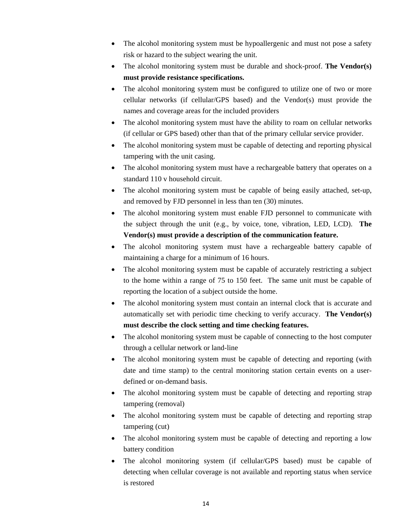- The alcohol monitoring system must be hypoallergenic and must not pose a safety risk or hazard to the subject wearing the unit.
- The alcohol monitoring system must be durable and shock-proof. **The Vendor(s) must provide resistance specifications.**
- The alcohol monitoring system must be configured to utilize one of two or more cellular networks (if cellular/GPS based) and the Vendor(s) must provide the names and coverage areas for the included providers
- The alcohol monitoring system must have the ability to roam on cellular networks (if cellular or GPS based) other than that of the primary cellular service provider.
- The alcohol monitoring system must be capable of detecting and reporting physical tampering with the unit casing.
- The alcohol monitoring system must have a rechargeable battery that operates on a standard 110 v household circuit.
- The alcohol monitoring system must be capable of being easily attached, set-up, and removed by FJD personnel in less than ten (30) minutes.
- The alcohol monitoring system must enable FJD personnel to communicate with the subject through the unit (e.g., by voice, tone, vibration, LED, LCD). **The Vendor(s) must provide a description of the communication feature.**
- The alcohol monitoring system must have a rechargeable battery capable of maintaining a charge for a minimum of 16 hours.
- The alcohol monitoring system must be capable of accurately restricting a subject to the home within a range of 75 to 150 feet. The same unit must be capable of reporting the location of a subject outside the home.
- The alcohol monitoring system must contain an internal clock that is accurate and automatically set with periodic time checking to verify accuracy. **The Vendor(s) must describe the clock setting and time checking features.**
- The alcohol monitoring system must be capable of connecting to the host computer through a cellular network or land-line
- The alcohol monitoring system must be capable of detecting and reporting (with date and time stamp) to the central monitoring station certain events on a userdefined or on-demand basis.
- The alcohol monitoring system must be capable of detecting and reporting strap tampering (removal)
- The alcohol monitoring system must be capable of detecting and reporting strap tampering (cut)
- The alcohol monitoring system must be capable of detecting and reporting a low battery condition
- The alcohol monitoring system (if cellular/GPS based) must be capable of detecting when cellular coverage is not available and reporting status when service is restored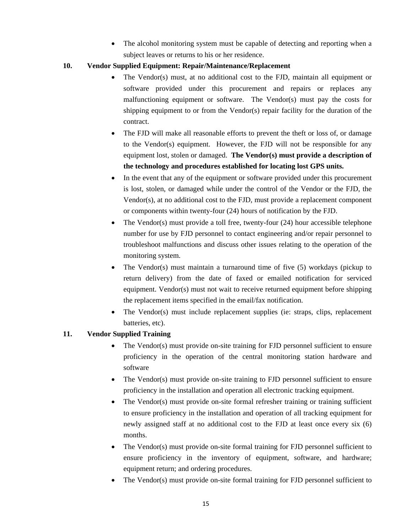• The alcohol monitoring system must be capable of detecting and reporting when a subject leaves or returns to his or her residence.

## **10. Vendor Supplied Equipment: Repair/Maintenance/Replacement**

- The Vendor(s) must, at no additional cost to the FJD, maintain all equipment or software provided under this procurement and repairs or replaces any malfunctioning equipment or software. The Vendor(s) must pay the costs for shipping equipment to or from the Vendor(s) repair facility for the duration of the contract.
- The FJD will make all reasonable efforts to prevent the theft or loss of, or damage to the Vendor(s) equipment. However, the FJD will not be responsible for any equipment lost, stolen or damaged. **The Vendor(s) must provide a description of the technology and procedures established for locating lost GPS units.**
- In the event that any of the equipment or software provided under this procurement is lost, stolen, or damaged while under the control of the Vendor or the FJD, the Vendor(s), at no additional cost to the FJD, must provide a replacement component or components within twenty-four (24) hours of notification by the FJD.
- The Vendor(s) must provide a toll free, twenty-four (24) hour accessible telephone number for use by FJD personnel to contact engineering and/or repair personnel to troubleshoot malfunctions and discuss other issues relating to the operation of the monitoring system.
- The Vendor(s) must maintain a turnaround time of five  $(5)$  workdays (pickup to return delivery) from the date of faxed or emailed notification for serviced equipment. Vendor(s) must not wait to receive returned equipment before shipping the replacement items specified in the email/fax notification.
- The Vendor(s) must include replacement supplies (ie: straps, clips, replacement batteries, etc).

## **11. Vendor Supplied Training**

- The Vendor(s) must provide on-site training for FJD personnel sufficient to ensure proficiency in the operation of the central monitoring station hardware and software
- The Vendor(s) must provide on-site training to FJD personnel sufficient to ensure proficiency in the installation and operation all electronic tracking equipment.
- The Vendor(s) must provide on-site formal refresher training or training sufficient to ensure proficiency in the installation and operation of all tracking equipment for newly assigned staff at no additional cost to the FJD at least once every six (6) months.
- The Vendor(s) must provide on-site formal training for FJD personnel sufficient to ensure proficiency in the inventory of equipment, software, and hardware; equipment return; and ordering procedures.
- The Vendor(s) must provide on-site formal training for FJD personnel sufficient to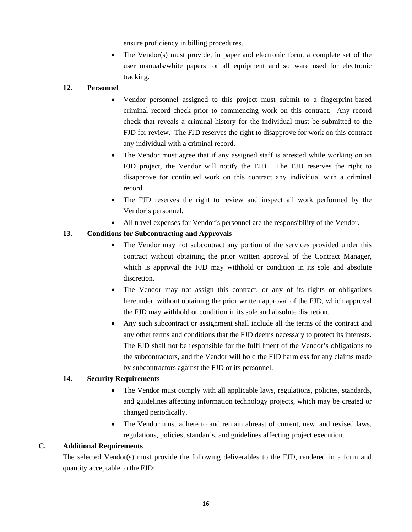ensure proficiency in billing procedures.

 $\bullet$  The Vendor(s) must provide, in paper and electronic form, a complete set of the user manuals/white papers for all equipment and software used for electronic tracking.

## **12. Personnel**

- Vendor personnel assigned to this project must submit to a fingerprint-based criminal record check prior to commencing work on this contract. Any record check that reveals a criminal history for the individual must be submitted to the FJD for review. The FJD reserves the right to disapprove for work on this contract any individual with a criminal record.
- The Vendor must agree that if any assigned staff is arrested while working on an FJD project, the Vendor will notify the FJD. The FJD reserves the right to disapprove for continued work on this contract any individual with a criminal record.
- The FJD reserves the right to review and inspect all work performed by the Vendor's personnel.
- All travel expenses for Vendor's personnel are the responsibility of the Vendor.

## **13. Conditions for Subcontracting and Approvals**

- The Vendor may not subcontract any portion of the services provided under this contract without obtaining the prior written approval of the Contract Manager, which is approval the FJD may withhold or condition in its sole and absolute discretion.
- The Vendor may not assign this contract, or any of its rights or obligations hereunder, without obtaining the prior written approval of the FJD, which approval the FJD may withhold or condition in its sole and absolute discretion.
- Any such subcontract or assignment shall include all the terms of the contract and any other terms and conditions that the FJD deems necessary to protect its interests. The FJD shall not be responsible for the fulfillment of the Vendor's obligations to the subcontractors, and the Vendor will hold the FJD harmless for any claims made by subcontractors against the FJD or its personnel.

## **14. Security Requirements**

- The Vendor must comply with all applicable laws, regulations, policies, standards, and guidelines affecting information technology projects, which may be created or changed periodically.
- The Vendor must adhere to and remain abreast of current, new, and revised laws, regulations, policies, standards, and guidelines affecting project execution.

#### **C. Additional Requirements**

The selected Vendor(s) must provide the following deliverables to the FJD, rendered in a form and quantity acceptable to the FJD: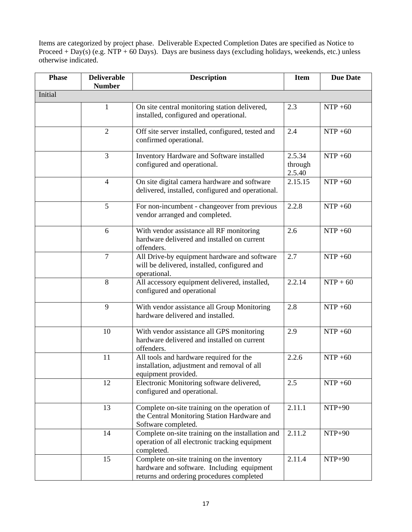Items are categorized by project phase. Deliverable Expected Completion Dates are specified as Notice to Proceed + Day(s) (e.g. NTP + 60 Days). Days are business days (excluding holidays, weekends, etc.) unless otherwise indicated.

| <b>Phase</b> | <b>Deliverable</b><br><b>Number</b> | <b>Description</b>                                                                                                                    |                             | <b>Due Date</b> |  |  |
|--------------|-------------------------------------|---------------------------------------------------------------------------------------------------------------------------------------|-----------------------------|-----------------|--|--|
| Initial      |                                     |                                                                                                                                       |                             |                 |  |  |
|              | 1                                   | On site central monitoring station delivered,<br>installed, configured and operational.                                               | 2.3                         | $NTP + 60$      |  |  |
|              | $\overline{2}$                      | Off site server installed, configured, tested and<br>confirmed operational.                                                           | 2.4                         | $NTP + 60$      |  |  |
|              | $\overline{3}$                      | Inventory Hardware and Software installed<br>configured and operational.                                                              | 2.5.34<br>through<br>2.5.40 | $NTP + 60$      |  |  |
|              | $\overline{4}$                      | On site digital camera hardware and software<br>delivered, installed, configured and operational.                                     | 2.15.15                     | $NTP + 60$      |  |  |
|              | 5                                   | For non-incumbent - changeover from previous<br>vendor arranged and completed.                                                        | 2.2.8                       | $NTP + 60$      |  |  |
|              | 6                                   | With vendor assistance all RF monitoring<br>hardware delivered and installed on current<br>offenders.                                 | 2.6                         | $NTP + 60$      |  |  |
|              | $\overline{7}$                      | All Drive-by equipment hardware and software<br>will be delivered, installed, configured and<br>operational.                          | 2.7                         | $NTP + 60$      |  |  |
|              | 8                                   | All accessory equipment delivered, installed,<br>configured and operational                                                           | 2.2.14                      | $NTP + 60$      |  |  |
|              | 9                                   | With vendor assistance all Group Monitoring<br>hardware delivered and installed.                                                      | 2.8                         | $NTP + 60$      |  |  |
|              | 10                                  | With vendor assistance all GPS monitoring<br>hardware delivered and installed on current<br>offenders.                                | 2.9                         | $NTP + 60$      |  |  |
|              | 11                                  | All tools and hardware required for the<br>installation, adjustment and removal of all<br>equipment provided.                         | 2.2.6                       | $NTP + 60$      |  |  |
|              | 12                                  | Electronic Monitoring software delivered,<br>configured and operational.                                                              | 2.5                         | $NTP + 60$      |  |  |
|              | 13                                  | Complete on-site training on the operation of<br>the Central Monitoring Station Hardware and<br>Software completed.                   | 2.11.1                      | $NTP+90$        |  |  |
|              | 14                                  | Complete on-site training on the installation and<br>operation of all electronic tracking equipment<br>completed.                     | 2.11.2                      | $NTP+90$        |  |  |
|              | 15                                  | Complete on-site training on the inventory<br>hardware and software. Including equipment<br>returns and ordering procedures completed | 2.11.4                      | NTP+90          |  |  |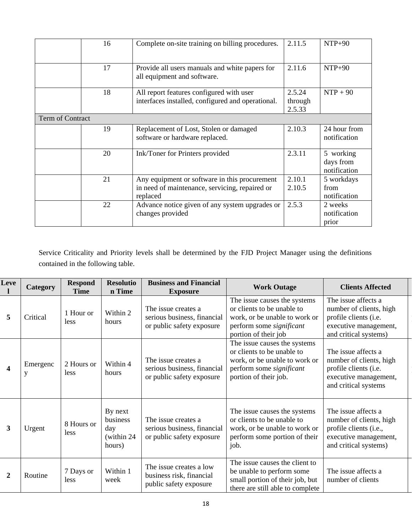|                  | 16 | Complete on-site training on billing procedures.                                                            | 2.11.5                      | $NTP+90$                               |
|------------------|----|-------------------------------------------------------------------------------------------------------------|-----------------------------|----------------------------------------|
|                  | 17 | Provide all users manuals and white papers for<br>all equipment and software.                               | 2.11.6                      | $NTP+90$                               |
|                  | 18 | All report features configured with user<br>interfaces installed, configured and operational.               | 2.5.24<br>through<br>2.5.33 | $NTP + 90$                             |
| Term of Contract |    |                                                                                                             |                             |                                        |
|                  | 19 | Replacement of Lost, Stolen or damaged<br>software or hardware replaced.                                    | 2.10.3                      | 24 hour from<br>notification           |
|                  | 20 | Ink/Toner for Printers provided                                                                             | 2.3.11                      | 5 working<br>days from<br>notification |
|                  | 21 | Any equipment or software in this procurement<br>in need of maintenance, servicing, repaired or<br>replaced | 2.10.1<br>2.10.5            | 5 workdays<br>from<br>notification     |
|                  | 22 | Advance notice given of any system upgrades or<br>changes provided                                          | 2.5.3                       | 2 weeks<br>notification<br>prior       |

Service Criticality and Priority levels shall be determined by the FJD Project Manager using the definitions contained in the following table.

| Leve                    | Category      | <b>Respond</b><br><b>Time</b> | <b>Resolutio</b><br>n Time                          | <b>Business and Financial</b><br><b>Exposure</b>                                | <b>Work Outage</b>                                                                                                                               | <b>Clients Affected</b>                                                                                                    |
|-------------------------|---------------|-------------------------------|-----------------------------------------------------|---------------------------------------------------------------------------------|--------------------------------------------------------------------------------------------------------------------------------------------------|----------------------------------------------------------------------------------------------------------------------------|
| 5                       | Critical      | 1 Hour or<br>less             | Within 2<br>hours                                   | The issue creates a<br>serious business, financial<br>or public safety exposure | The issue causes the systems<br>or clients to be unable to<br>work, or be unable to work or<br>perform some significant<br>portion of their job  | The issue affects a<br>number of clients, high<br>profile clients (i.e.<br>executive management,<br>and critical systems)  |
| $\overline{\mathbf{4}}$ | Emergenc<br>y | 2 Hours or<br>less            | Within 4<br>hours                                   | The issue creates a<br>serious business, financial<br>or public safety exposure | The issue causes the systems<br>or clients to be unable to<br>work, or be unable to work or<br>perform some significant<br>portion of their job. | The issue affects a<br>number of clients, high<br>profile clients (i.e.<br>executive management,<br>and critical systems   |
| 3                       | Urgent        | 8 Hours or<br>less            | By next<br>business<br>day<br>(within 24)<br>hours) | The issue creates a<br>serious business, financial<br>or public safety exposure | The issue causes the systems<br>or clients to be unable to<br>work, or be unable to work or<br>perform some portion of their<br>job.             | The issue affects a<br>number of clients, high<br>profile clients (i.e.,<br>executive management,<br>and critical systems) |
| $\mathbf{2}$            | Routine       | 7 Days or<br><i>less</i>      | Within 1<br>week                                    | The issue creates a low<br>business risk, financial<br>public safety exposure   | The issue causes the client to<br>be unable to perform some<br>small portion of their job, but<br>there are still able to complete               | The issue affects a<br>number of clients                                                                                   |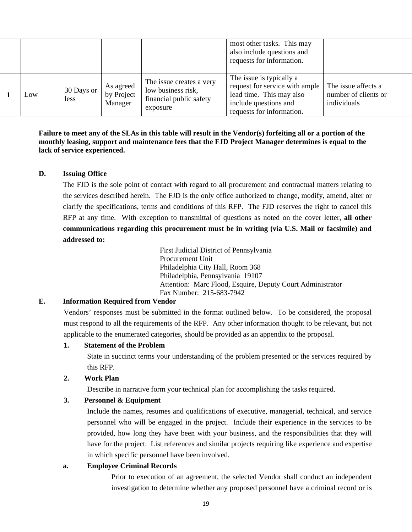|        |                    |                                    |                                                                                       | most other tasks. This may<br>also include questions and<br>requests for information.                                                        |                                                            |
|--------|--------------------|------------------------------------|---------------------------------------------------------------------------------------|----------------------------------------------------------------------------------------------------------------------------------------------|------------------------------------------------------------|
| $L$ OW | 30 Days or<br>less | As agreed<br>by Project<br>Manager | The issue creates a very<br>low business risk,<br>financial public safety<br>exposure | The issue is typically a<br>request for service with ample<br>lead time. This may also<br>include questions and<br>requests for information. | The issue affects a<br>number of clients or<br>individuals |

**Failure to meet any of the SLAs in this table will result in the Vendor(s) forfeiting all or a portion of the monthly leasing, support and maintenance fees that the FJD Project Manager determines is equal to the lack of service experienced.** 

#### **D. Issuing Office**

The FJD is the sole point of contact with regard to all procurement and contractual matters relating to the services described herein. The FJD is the only office authorized to change, modify, amend, alter or clarify the specifications, terms and conditions of this RFP. The FJD reserves the right to cancel this RFP at any time. With exception to transmittal of questions as noted on the cover letter, **all other communications regarding this procurement must be in writing (via U.S. Mail or facsimile) and addressed to:** 

> First Judicial District of Pennsylvania Procurement Unit Philadelphia City Hall, Room 368 Philadelphia, Pennsylvania 19107 Attention: Marc Flood, Esquire, Deputy Court Administrator Fax Number: 215-683-7942

#### **E. Information Required from Vendor**

Vendors' responses must be submitted in the format outlined below. To be considered, the proposal must respond to all the requirements of the RFP. Any other information thought to be relevant, but not applicable to the enumerated categories, should be provided as an appendix to the proposal.

#### **1. Statement of the Problem**

State in succinct terms your understanding of the problem presented or the services required by this RFP.

#### **2. Work Plan**

Describe in narrative form your technical plan for accomplishing the tasks required.

#### **3. Personnel & Equipment**

Include the names, resumes and qualifications of executive, managerial, technical, and service personnel who will be engaged in the project. Include their experience in the services to be provided, how long they have been with your business, and the responsibilities that they will have for the project. List references and similar projects requiring like experience and expertise in which specific personnel have been involved.

#### **a. Employee Criminal Records**

Prior to execution of an agreement, the selected Vendor shall conduct an independent investigation to determine whether any proposed personnel have a criminal record or is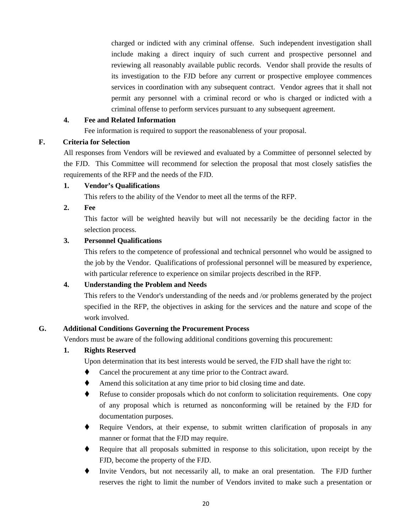charged or indicted with any criminal offense. Such independent investigation shall include making a direct inquiry of such current and prospective personnel and reviewing all reasonably available public records. Vendor shall provide the results of its investigation to the FJD before any current or prospective employee commences services in coordination with any subsequent contract. Vendor agrees that it shall not permit any personnel with a criminal record or who is charged or indicted with a criminal offense to perform services pursuant to any subsequent agreement.

## **4. Fee and Related Information**

Fee information is required to support the reasonableness of your proposal.

## **F. Criteria for Selection**

All responses from Vendors will be reviewed and evaluated by a Committee of personnel selected by the FJD. This Committee will recommend for selection the proposal that most closely satisfies the requirements of the RFP and the needs of the FJD.

## **1. Vendor's Qualifications**

This refers to the ability of the Vendor to meet all the terms of the RFP.

## **2. Fee**

This factor will be weighted heavily but will not necessarily be the deciding factor in the selection process.

## **3. Personnel Qualifications**

This refers to the competence of professional and technical personnel who would be assigned to the job by the Vendor. Qualifications of professional personnel will be measured by experience, with particular reference to experience on similar projects described in the RFP.

## **4. Understanding the Problem and Needs**

This refers to the Vendor's understanding of the needs and /or problems generated by the project specified in the RFP, the objectives in asking for the services and the nature and scope of the work involved.

## **G. Additional Conditions Governing the Procurement Process**

Vendors must be aware of the following additional conditions governing this procurement:

#### **1. Rights Reserved**

Upon determination that its best interests would be served, the FJD shall have the right to:

- Cancel the procurement at any time prior to the Contract award.
- Amend this solicitation at any time prior to bid closing time and date.
- Refuse to consider proposals which do not conform to solicitation requirements. One copy of any proposal which is returned as nonconforming will be retained by the FJD for documentation purposes.
- Require Vendors, at their expense, to submit written clarification of proposals in any manner or format that the FJD may require.
- Require that all proposals submitted in response to this solicitation, upon receipt by the FJD, become the property of the FJD.
- Invite Vendors, but not necessarily all, to make an oral presentation. The FJD further reserves the right to limit the number of Vendors invited to make such a presentation or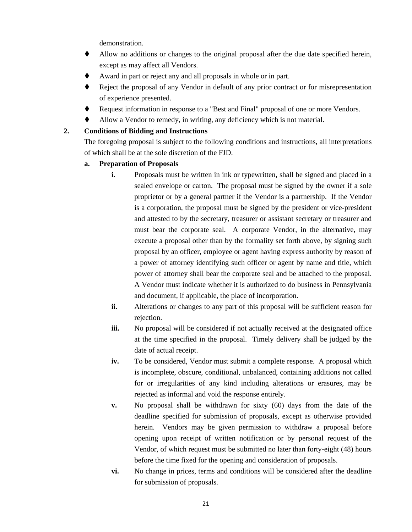demonstration.

- Allow no additions or changes to the original proposal after the due date specified herein, except as may affect all Vendors.
- Award in part or reject any and all proposals in whole or in part.
- Reject the proposal of any Vendor in default of any prior contract or for misrepresentation of experience presented.
- Request information in response to a "Best and Final" proposal of one or more Vendors.
- Allow a Vendor to remedy, in writing, any deficiency which is not material.

## **2. Conditions of Bidding and Instructions**

The foregoing proposal is subject to the following conditions and instructions, all interpretations of which shall be at the sole discretion of the FJD.

- **a. Preparation of Proposals** 
	- **i.** Proposals must be written in ink or typewritten, shall be signed and placed in a sealed envelope or carton. The proposal must be signed by the owner if a sole proprietor or by a general partner if the Vendor is a partnership. If the Vendor is a corporation, the proposal must be signed by the president or vice-president and attested to by the secretary, treasurer or assistant secretary or treasurer and must bear the corporate seal. A corporate Vendor, in the alternative, may execute a proposal other than by the formality set forth above, by signing such proposal by an officer, employee or agent having express authority by reason of a power of attorney identifying such officer or agent by name and title, which power of attorney shall bear the corporate seal and be attached to the proposal. A Vendor must indicate whether it is authorized to do business in Pennsylvania and document, if applicable, the place of incorporation.
	- **ii.** Alterations or changes to any part of this proposal will be sufficient reason for rejection.
	- **iii.** No proposal will be considered if not actually received at the designated office at the time specified in the proposal. Timely delivery shall be judged by the date of actual receipt.
	- **iv.** To be considered, Vendor must submit a complete response. A proposal which is incomplete, obscure, conditional, unbalanced, containing additions not called for or irregularities of any kind including alterations or erasures, may be rejected as informal and void the response entirely.
	- **v.** No proposal shall be withdrawn for sixty (60) days from the date of the deadline specified for submission of proposals, except as otherwise provided herein. Vendors may be given permission to withdraw a proposal before opening upon receipt of written notification or by personal request of the Vendor, of which request must be submitted no later than forty-eight (48) hours before the time fixed for the opening and consideration of proposals.
	- **vi.** No change in prices, terms and conditions will be considered after the deadline for submission of proposals.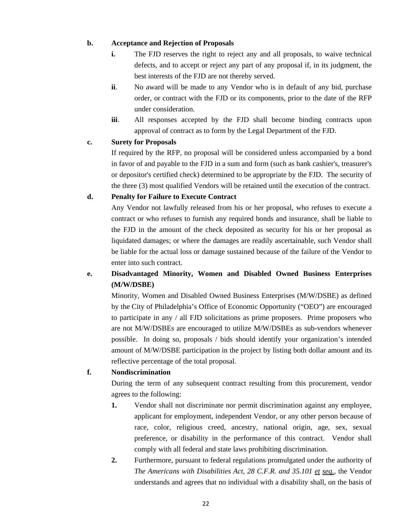## **b. Acceptance and Rejection of Proposals**

- **i.** The FJD reserves the right to reject any and all proposals, to waive technical defects, and to accept or reject any part of any proposal if, in its judgment, the best interests of the FJD are not thereby served.
- **ii**. No award will be made to any Vendor who is in default of any bid, purchase order, or contract with the FJD or its components, prior to the date of the RFP under consideration.
- **iii**. All responses accepted by the FJD shall become binding contracts upon approval of contract as to form by the Legal Department of the FJD.

#### **c. Surety for Proposals**

If required by the RFP, no proposal will be considered unless accompanied by a bond in favor of and payable to the FJD in a sum and form (such as bank cashier's, treasurer's or depositor's certified check) determined to be appropriate by the FJD. The security of the three (3) most qualified Vendors will be retained until the execution of the contract.

## **d. Penalty for Failure to Execute Contract**

Any Vendor not lawfully released from his or her proposal, who refuses to execute a contract or who refuses to furnish any required bonds and insurance, shall be liable to the FJD in the amount of the check deposited as security for his or her proposal as liquidated damages; or where the damages are readily ascertainable, such Vendor shall be liable for the actual loss or damage sustained because of the failure of the Vendor to enter into such contract.

## **e. Disadvantaged Minority, Women and Disabled Owned Business Enterprises (M/W/DSBE)**

Minority, Women and Disabled Owned Business Enterprises (M/W/DSBE) as defined by the City of Philadelphia's Office of Economic Opportunity ("OEO") are encouraged to participate in any / all FJD solicitations as prime proposers. Prime proposers who are not M/W/DSBEs are encouraged to utilize M/W/DSBEs as sub-vendors whenever possible. In doing so, proposals / bids should identify your organization's intended amount of M/W/DSBE participation in the project by listing both dollar amount and its reflective percentage of the total proposal.

#### **f. Nondiscrimination**

During the term of any subsequent contract resulting from this procurement, vendor agrees to the following:

- **1.** Vendor shall not discriminate nor permit discrimination against any employee, applicant for employment, independent Vendor, or any other person because of race, color, religious creed, ancestry, national origin, age, sex, sexual preference, or disability in the performance of this contract. Vendor shall comply with all federal and state laws prohibiting discrimination.
- **2.** Furthermore, pursuant to federal regulations promulgated under the authority of *The Americans with Disabilities Act, 28 C.F.R. and 35.101 et seq.*, the Vendor understands and agrees that no individual with a disability shall, on the basis of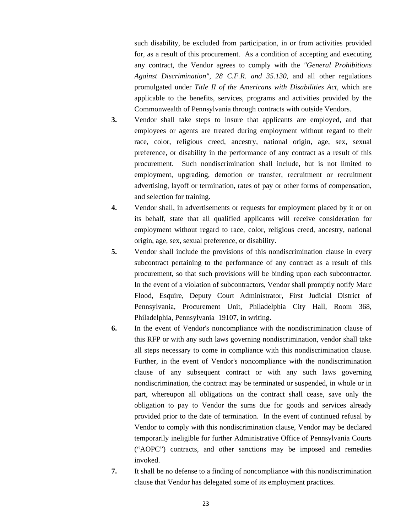such disability, be excluded from participation, in or from activities provided for, as a result of this procurement. As a condition of accepting and executing any contract, the Vendor agrees to comply with the *"General Prohibitions Against Discrimination", 28 C.F.R. and 35.130*, and all other regulations promulgated under *Title II of the Americans with Disabilities Act*, which are applicable to the benefits, services, programs and activities provided by the Commonwealth of Pennsylvania through contracts with outside Vendors.

- **3.** Vendor shall take steps to insure that applicants are employed, and that employees or agents are treated during employment without regard to their race, color, religious creed, ancestry, national origin, age, sex, sexual preference, or disability in the performance of any contract as a result of this procurement. Such nondiscrimination shall include, but is not limited to employment, upgrading, demotion or transfer, recruitment or recruitment advertising, layoff or termination, rates of pay or other forms of compensation, and selection for training.
- **4.** Vendor shall, in advertisements or requests for employment placed by it or on its behalf, state that all qualified applicants will receive consideration for employment without regard to race, color, religious creed, ancestry, national origin, age, sex, sexual preference, or disability.
- **5.** Vendor shall include the provisions of this nondiscrimination clause in every subcontract pertaining to the performance of any contract as a result of this procurement, so that such provisions will be binding upon each subcontractor. In the event of a violation of subcontractors, Vendor shall promptly notify Marc Flood, Esquire, Deputy Court Administrator, First Judicial District of Pennsylvania, Procurement Unit, Philadelphia City Hall, Room 368, Philadelphia, Pennsylvania 19107, in writing.
- **6.** In the event of Vendor's noncompliance with the nondiscrimination clause of this RFP or with any such laws governing nondiscrimination, vendor shall take all steps necessary to come in compliance with this nondiscrimination clause. Further, in the event of Vendor's noncompliance with the nondiscrimination clause of any subsequent contract or with any such laws governing nondiscrimination, the contract may be terminated or suspended, in whole or in part, whereupon all obligations on the contract shall cease, save only the obligation to pay to Vendor the sums due for goods and services already provided prior to the date of termination. In the event of continued refusal by Vendor to comply with this nondiscrimination clause, Vendor may be declared temporarily ineligible for further Administrative Office of Pennsylvania Courts ("AOPC") contracts, and other sanctions may be imposed and remedies invoked.
- **7.** It shall be no defense to a finding of noncompliance with this nondiscrimination clause that Vendor has delegated some of its employment practices.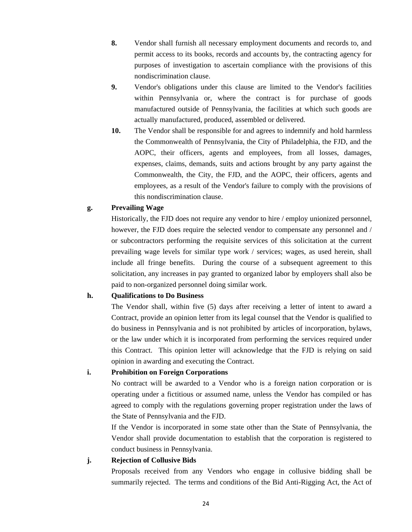- **8.** Vendor shall furnish all necessary employment documents and records to, and permit access to its books, records and accounts by, the contracting agency for purposes of investigation to ascertain compliance with the provisions of this nondiscrimination clause.
- **9.** Vendor's obligations under this clause are limited to the Vendor's facilities within Pennsylvania or, where the contract is for purchase of goods manufactured outside of Pennsylvania, the facilities at which such goods are actually manufactured, produced, assembled or delivered.
- **10.** The Vendor shall be responsible for and agrees to indemnify and hold harmless the Commonwealth of Pennsylvania, the City of Philadelphia, the FJD, and the AOPC, their officers, agents and employees, from all losses, damages, expenses, claims, demands, suits and actions brought by any party against the Commonwealth, the City, the FJD, and the AOPC, their officers, agents and employees, as a result of the Vendor's failure to comply with the provisions of this nondiscrimination clause.

#### **g. Prevailing Wage**

Historically, the FJD does not require any vendor to hire / employ unionized personnel, however, the FJD does require the selected vendor to compensate any personnel and / or subcontractors performing the requisite services of this solicitation at the current prevailing wage levels for similar type work / services; wages, as used herein, shall include all fringe benefits. During the course of a subsequent agreement to this solicitation, any increases in pay granted to organized labor by employers shall also be paid to non-organized personnel doing similar work.

#### **h. Qualifications to Do Business**

The Vendor shall, within five (5) days after receiving a letter of intent to award a Contract, provide an opinion letter from its legal counsel that the Vendor is qualified to do business in Pennsylvania and is not prohibited by articles of incorporation, bylaws, or the law under which it is incorporated from performing the services required under this Contract. This opinion letter will acknowledge that the FJD is relying on said opinion in awarding and executing the Contract.

#### **i. Prohibition on Foreign Corporations**

No contract will be awarded to a Vendor who is a foreign nation corporation or is operating under a fictitious or assumed name, unless the Vendor has compiled or has agreed to comply with the regulations governing proper registration under the laws of the State of Pennsylvania and the FJD.

If the Vendor is incorporated in some state other than the State of Pennsylvania, the Vendor shall provide documentation to establish that the corporation is registered to conduct business in Pennsylvania.

#### **j. Rejection of Collusive Bids**

Proposals received from any Vendors who engage in collusive bidding shall be summarily rejected. The terms and conditions of the Bid Anti-Rigging Act, the Act of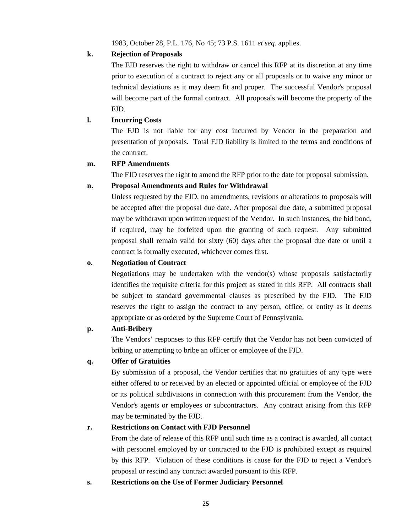1983, October 28, P.L. 176, No 45; 73 P.S. 1611 *et seq.* applies.

## **k. Rejection of Proposals**

The FJD reserves the right to withdraw or cancel this RFP at its discretion at any time prior to execution of a contract to reject any or all proposals or to waive any minor or technical deviations as it may deem fit and proper. The successful Vendor's proposal will become part of the formal contract. All proposals will become the property of the FJD.

## **l. Incurring Costs**

The FJD is not liable for any cost incurred by Vendor in the preparation and presentation of proposals. Total FJD liability is limited to the terms and conditions of the contract.

## **m. RFP Amendments**

The FJD reserves the right to amend the RFP prior to the date for proposal submission.

## **n. Proposal Amendments and Rules for Withdrawal**

Unless requested by the FJD, no amendments, revisions or alterations to proposals will be accepted after the proposal due date. After proposal due date, a submitted proposal may be withdrawn upon written request of the Vendor. In such instances, the bid bond, if required, may be forfeited upon the granting of such request. Any submitted proposal shall remain valid for sixty (60) days after the proposal due date or until a contract is formally executed, whichever comes first.

## **o. Negotiation of Contract**

Negotiations may be undertaken with the vendor(s) whose proposals satisfactorily identifies the requisite criteria for this project as stated in this RFP. All contracts shall be subject to standard governmental clauses as prescribed by the FJD. The FJD reserves the right to assign the contract to any person, office, or entity as it deems appropriate or as ordered by the Supreme Court of Pennsylvania.

#### **p. Anti-Bribery**

The Vendors' responses to this RFP certify that the Vendor has not been convicted of bribing or attempting to bribe an officer or employee of the FJD.

#### **q. Offer of Gratuities**

By submission of a proposal, the Vendor certifies that no gratuities of any type were either offered to or received by an elected or appointed official or employee of the FJD or its political subdivisions in connection with this procurement from the Vendor, the Vendor's agents or employees or subcontractors. Any contract arising from this RFP may be terminated by the FJD.

#### **r. Restrictions on Contact with FJD Personnel**

From the date of release of this RFP until such time as a contract is awarded, all contact with personnel employed by or contracted to the FJD is prohibited except as required by this RFP. Violation of these conditions is cause for the FJD to reject a Vendor's proposal or rescind any contract awarded pursuant to this RFP.

**s. Restrictions on the Use of Former Judiciary Personnel**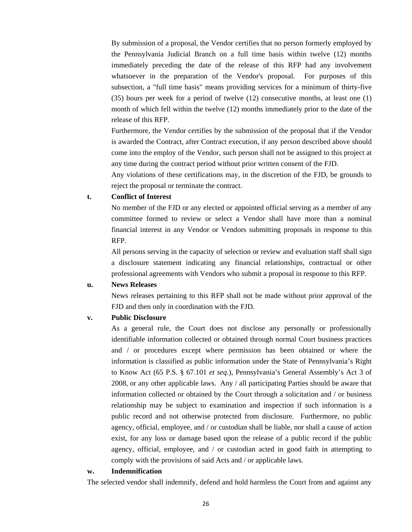By submission of a proposal, the Vendor certifies that no person formerly employed by the Pennsylvania Judicial Branch on a full time basis within twelve (12) months immediately preceding the date of the release of this RFP had any involvement whatsoever in the preparation of the Vendor's proposal. For purposes of this subsection, a "full time basis" means providing services for a minimum of thirty-five (35) hours per week for a period of twelve (12) consecutive months, at least one (1) month of which fell within the twelve (12) months immediately prior to the date of the release of this RFP.

Furthermore, the Vendor certifies by the submission of the proposal that if the Vendor is awarded the Contract, after Contract execution, if any person described above should come into the employ of the Vendor, such person shall not be assigned to this project at any time during the contract period without prior written consent of the FJD.

Any violations of these certifications may, in the discretion of the FJD, be grounds to reject the proposal or terminate the contract.

#### **t. Conflict of Interest**

No member of the FJD or any elected or appointed official serving as a member of any committee formed to review or select a Vendor shall have more than a nominal financial interest in any Vendor or Vendors submitting proposals in response to this RFP.

All persons serving in the capacity of selection or review and evaluation staff shall sign a disclosure statement indicating any financial relationships, contractual or other professional agreements with Vendors who submit a proposal in response to this RFP.

#### **u. News Releases**

News releases pertaining to this RFP shall not be made without prior approval of the FJD and then only in coordination with the FJD.

#### **v. Public Disclosure**

As a general rule, the Court does not disclose any personally or professionally identifiable information collected or obtained through normal Court business practices and / or procedures except where permission has been obtained or where the information is classified as public information under the State of Pennsylvania's Right to Know Act (65 P.S. § 67.101 *et seq*.), Pennsylvania's General Assembly's Act 3 of 2008, or any other applicable laws. Any / all participating Parties should be aware that information collected or obtained by the Court through a solicitation and / or business relationship may be subject to examination and inspection if such information is a public record and not otherwise protected from disclosure. Furthermore, no public agency, official, employee, and / or custodian shall be liable, nor shall a cause of action exist, for any loss or damage based upon the release of a public record if the public agency, official, employee, and / or custodian acted in good faith in attempting to comply with the provisions of said Acts and / or applicable laws.

#### **w. Indemnification**

The selected vendor shall indemnify, defend and hold harmless the Court from and against any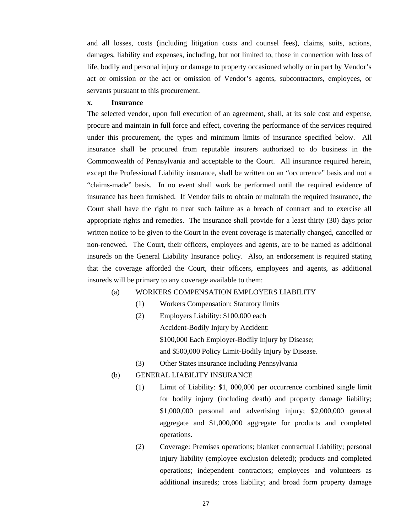and all losses, costs (including litigation costs and counsel fees), claims, suits, actions, damages, liability and expenses, including, but not limited to, those in connection with loss of life, bodily and personal injury or damage to property occasioned wholly or in part by Vendor's act or omission or the act or omission of Vendor's agents, subcontractors, employees, or servants pursuant to this procurement.

#### **x. Insurance**

The selected vendor, upon full execution of an agreement, shall, at its sole cost and expense, procure and maintain in full force and effect, covering the performance of the services required under this procurement, the types and minimum limits of insurance specified below. All insurance shall be procured from reputable insurers authorized to do business in the Commonwealth of Pennsylvania and acceptable to the Court. All insurance required herein, except the Professional Liability insurance, shall be written on an "occurrence" basis and not a "claims-made" basis. In no event shall work be performed until the required evidence of insurance has been furnished. If Vendor fails to obtain or maintain the required insurance, the Court shall have the right to treat such failure as a breach of contract and to exercise all appropriate rights and remedies. The insurance shall provide for a least thirty (30) days prior written notice to be given to the Court in the event coverage is materially changed, cancelled or non-renewed. The Court, their officers, employees and agents, are to be named as additional insureds on the General Liability Insurance policy. Also, an endorsement is required stating that the coverage afforded the Court, their officers, employees and agents, as additional insureds will be primary to any coverage available to them:

#### (a) WORKERS COMPENSATION EMPLOYERS LIABILITY

- (1) Workers Compensation: Statutory limits
- (2) Employers Liability: \$100,000 each Accident-Bodily Injury by Accident: \$100,000 Each Employer-Bodily Injury by Disease; and \$500,000 Policy Limit-Bodily Injury by Disease.
- (3) Other States insurance including Pennsylvania
- (b) GENERAL LIABILITY INSURANCE
	- (1) Limit of Liability: \$1, 000,000 per occurrence combined single limit for bodily injury (including death) and property damage liability; \$1,000,000 personal and advertising injury; \$2,000,000 general aggregate and \$1,000,000 aggregate for products and completed operations.
	- (2) Coverage: Premises operations; blanket contractual Liability; personal injury liability (employee exclusion deleted); products and completed operations; independent contractors; employees and volunteers as additional insureds; cross liability; and broad form property damage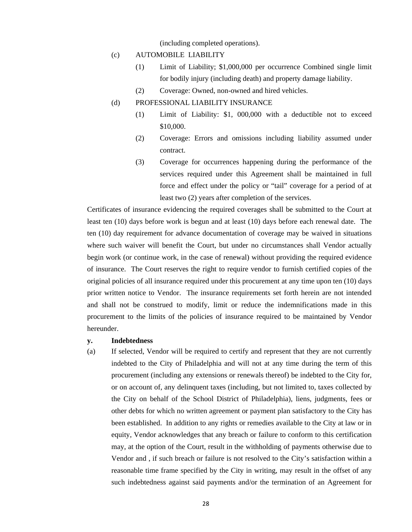(including completed operations).

- (c) AUTOMOBILE LIABILITY
	- (1) Limit of Liability; \$1,000,000 per occurrence Combined single limit for bodily injury (including death) and property damage liability.
	- (2) Coverage: Owned, non-owned and hired vehicles.
- (d) PROFESSIONAL LIABILITY INSURANCE
	- (1) Limit of Liability: \$1, 000,000 with a deductible not to exceed \$10,000.
	- (2) Coverage: Errors and omissions including liability assumed under contract.
	- (3) Coverage for occurrences happening during the performance of the services required under this Agreement shall be maintained in full force and effect under the policy or "tail" coverage for a period of at least two (2) years after completion of the services.

Certificates of insurance evidencing the required coverages shall be submitted to the Court at least ten (10) days before work is begun and at least (10) days before each renewal date. The ten (10) day requirement for advance documentation of coverage may be waived in situations where such waiver will benefit the Court, but under no circumstances shall Vendor actually begin work (or continue work, in the case of renewal) without providing the required evidence of insurance. The Court reserves the right to require vendor to furnish certified copies of the original policies of all insurance required under this procurement at any time upon ten (10) days prior written notice to Vendor. The insurance requirements set forth herein are not intended and shall not be construed to modify, limit or reduce the indemnifications made in this procurement to the limits of the policies of insurance required to be maintained by Vendor hereunder.

#### **y. Indebtedness**

(a) If selected, Vendor will be required to certify and represent that they are not currently indebted to the City of Philadelphia and will not at any time during the term of this procurement (including any extensions or renewals thereof) be indebted to the City for, or on account of, any delinquent taxes (including, but not limited to, taxes collected by the City on behalf of the School District of Philadelphia), liens, judgments, fees or other debts for which no written agreement or payment plan satisfactory to the City has been established. In addition to any rights or remedies available to the City at law or in equity, Vendor acknowledges that any breach or failure to conform to this certification may, at the option of the Court, result in the withholding of payments otherwise due to Vendor and , if such breach or failure is not resolved to the City's satisfaction within a reasonable time frame specified by the City in writing, may result in the offset of any such indebtedness against said payments and/or the termination of an Agreement for